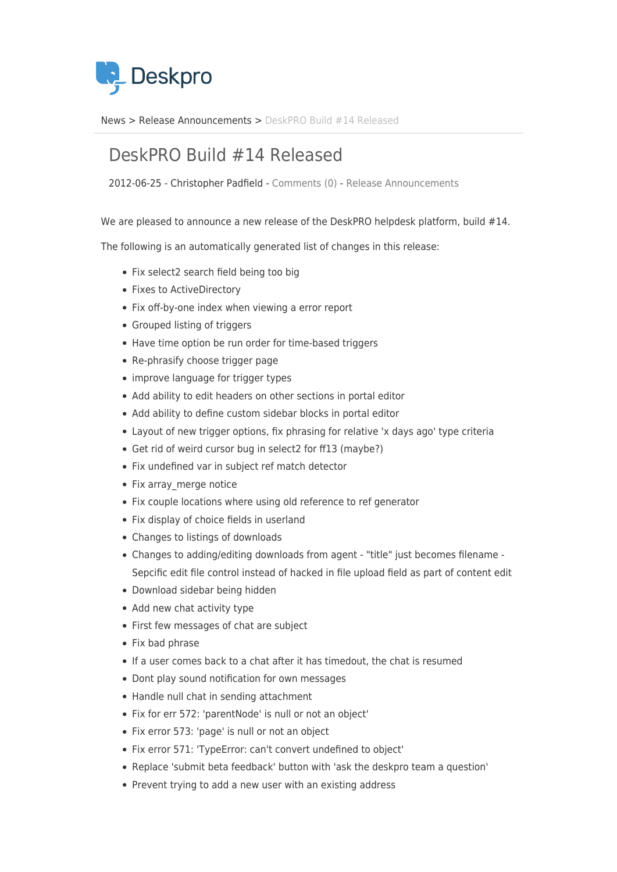

[News](https://support.deskpro.com/sv/news) > [Release Announcements](https://support.deskpro.com/sv/news/release-announcements) > [DeskPRO Build #14 Released](https://support.deskpro.com/sv/news/posts/deskpro-build-14-released)

## DeskPRO Build #14 Released

2012-06-25 - Christopher Padfield - [Comments \(0\)](#page--1-0) - [Release Announcements](https://support.deskpro.com/sv/news/release-announcements)

We are pleased to announce a new release of the DeskPRO helpdesk platform, build #14.

The following is an automatically generated list of changes in this release:

- Fix select2 search field being too big
- Fixes to ActiveDirectory
- Fix off-by-one index when viewing a error report
- Grouped listing of triggers
- Have time option be run order for time-based triggers
- Re-phrasify choose trigger page
- improve language for trigger types
- Add ability to edit headers on other sections in portal editor
- Add ability to define custom sidebar blocks in portal editor
- Layout of new trigger options, fix phrasing for relative 'x days ago' type criteria
- Get rid of weird cursor bug in select2 for ff13 (maybe?)
- Fix undefined var in subject ref match detector
- Fix array merge notice
- Fix couple locations where using old reference to ref generator
- Fix display of choice fields in userland
- Changes to listings of downloads
- Changes to adding/editing downloads from agent "title" just becomes filename Sepcific edit file control instead of hacked in file upload field as part of content edit
- Download sidebar being hidden
- Add new chat activity type
- First few messages of chat are subject
- Fix bad phrase
- If a user comes back to a chat after it has timedout, the chat is resumed
- Dont play sound notification for own messages
- Handle null chat in sending attachment
- Fix for err 572: 'parentNode' is null or not an object'
- Fix error 573: 'page' is null or not an object
- Fix error 571: 'TypeError: can't convert undefined to object'
- Replace 'submit beta feedback' button with 'ask the deskpro team a question'
- Prevent trying to add a new user with an existing address